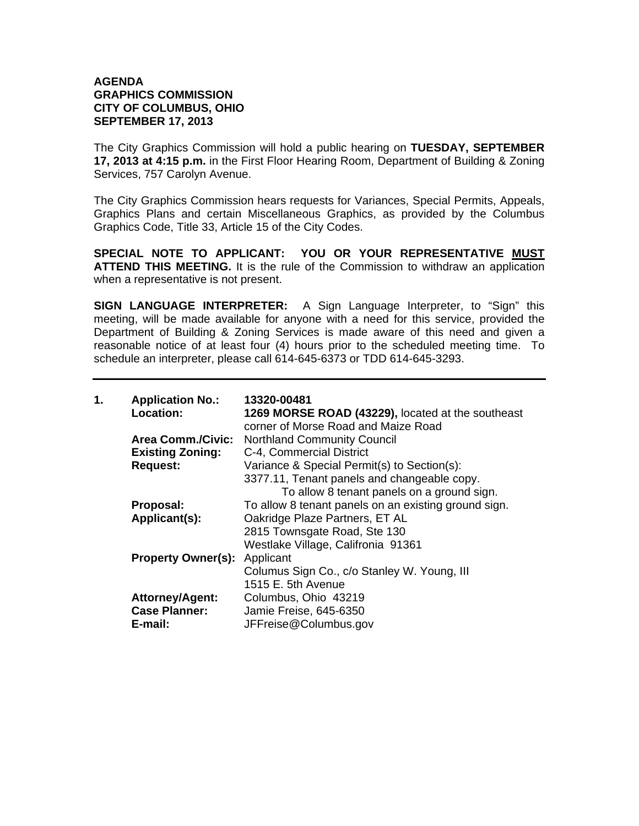## **AGENDA GRAPHICS COMMISSION CITY OF COLUMBUS, OHIO SEPTEMBER 17, 2013**

The City Graphics Commission will hold a public hearing on **TUESDAY, SEPTEMBER 17, 2013 at 4:15 p.m.** in the First Floor Hearing Room, Department of Building & Zoning Services, 757 Carolyn Avenue.

The City Graphics Commission hears requests for Variances, Special Permits, Appeals, Graphics Plans and certain Miscellaneous Graphics, as provided by the Columbus Graphics Code, Title 33, Article 15 of the City Codes.

**SPECIAL NOTE TO APPLICANT: YOU OR YOUR REPRESENTATIVE MUST ATTEND THIS MEETING.** It is the rule of the Commission to withdraw an application when a representative is not present.

**SIGN LANGUAGE INTERPRETER:** A Sign Language Interpreter, to "Sign" this meeting, will be made available for anyone with a need for this service, provided the Department of Building & Zoning Services is made aware of this need and given a reasonable notice of at least four (4) hours prior to the scheduled meeting time. To schedule an interpreter, please call 614-645-6373 or TDD 614-645-3293.

| 1. | <b>Application No.:</b><br>Location: | 13320-00481<br>1269 MORSE ROAD (43229), located at the southeast<br>corner of Morse Road and Maize Road |
|----|--------------------------------------|---------------------------------------------------------------------------------------------------------|
|    | <b>Area Comm./Civic:</b>             | <b>Northland Community Council</b>                                                                      |
|    | <b>Existing Zoning:</b>              | C-4, Commercial District                                                                                |
|    | <b>Request:</b>                      | Variance & Special Permit(s) to Section(s):                                                             |
|    |                                      | 3377.11, Tenant panels and changeable copy.                                                             |
|    |                                      | To allow 8 tenant panels on a ground sign.                                                              |
|    | Proposal:                            | To allow 8 tenant panels on an existing ground sign.                                                    |
|    | Applicant(s):                        | Oakridge Plaze Partners, ET AL                                                                          |
|    |                                      | 2815 Townsgate Road, Ste 130                                                                            |
|    |                                      | Westlake Village, Califronia 91361                                                                      |
|    | <b>Property Owner(s):</b>            | Applicant                                                                                               |
|    |                                      | Columus Sign Co., c/o Stanley W. Young, III                                                             |
|    |                                      | 1515 E. 5th Avenue                                                                                      |
|    | <b>Attorney/Agent:</b>               | Columbus, Ohio 43219                                                                                    |
|    | <b>Case Planner:</b>                 | Jamie Freise, 645-6350                                                                                  |
|    | E-mail:                              | JFFreise@Columbus.gov                                                                                   |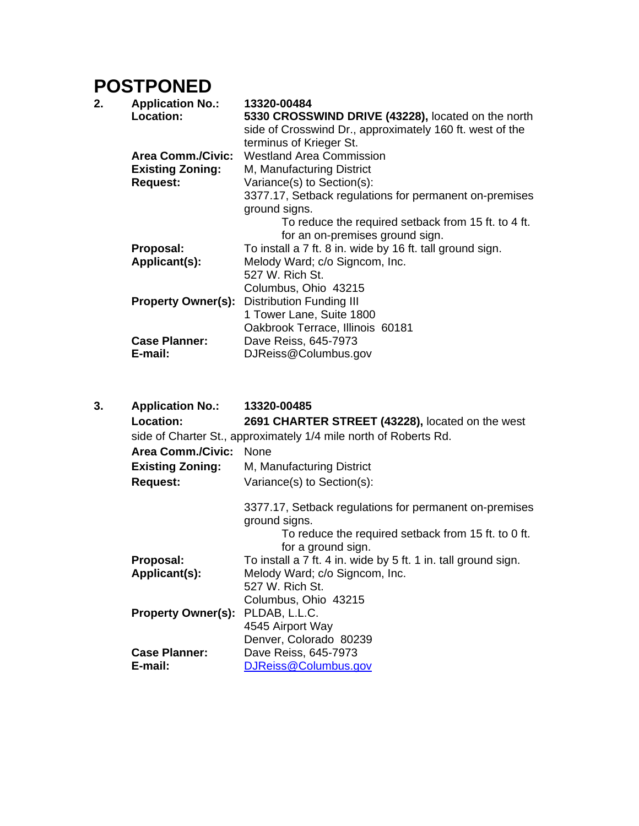## **POSTPONED**

| 2. | <b>Application No.:</b><br>Location: | 13320-00484<br>5330 CROSSWIND DRIVE (43228), located on the north<br>side of Crosswind Dr., approximately 160 ft. west of the<br>terminus of Krieger St. |
|----|--------------------------------------|----------------------------------------------------------------------------------------------------------------------------------------------------------|
|    | <b>Area Comm./Civic:</b>             | <b>Westland Area Commission</b>                                                                                                                          |
|    | <b>Existing Zoning:</b>              | M, Manufacturing District                                                                                                                                |
|    | <b>Request:</b>                      | Variance(s) to Section(s):                                                                                                                               |
|    |                                      | 3377.17, Setback regulations for permanent on-premises<br>ground signs.                                                                                  |
|    |                                      | To reduce the required setback from 15 ft. to 4 ft.                                                                                                      |
|    |                                      | for an on-premises ground sign.                                                                                                                          |
|    | Proposal:                            | To install a 7 ft. 8 in. wide by 16 ft. tall ground sign.                                                                                                |
|    | Applicant(s):                        | Melody Ward; c/o Signcom, Inc.                                                                                                                           |
|    |                                      | 527 W. Rich St.                                                                                                                                          |
|    |                                      | Columbus, Ohio 43215                                                                                                                                     |
|    | <b>Property Owner(s):</b>            | <b>Distribution Funding III</b>                                                                                                                          |
|    |                                      | 1 Tower Lane, Suite 1800                                                                                                                                 |
|    |                                      | Oakbrook Terrace, Illinois 60181                                                                                                                         |
|    | <b>Case Planner:</b>                 | Dave Reiss, 645-7973                                                                                                                                     |
|    | E-mail:                              | DJReiss@Columbus.gov                                                                                                                                     |

| 3. | <b>Application No.:</b><br>Location: | 13320-00485<br>2691 CHARTER STREET (43228), located on the west<br>side of Charter St., approximately 1/4 mile north of Roberts Rd. |
|----|--------------------------------------|-------------------------------------------------------------------------------------------------------------------------------------|
|    | <b>Area Comm./Civic:</b>             | <b>None</b>                                                                                                                         |
|    | <b>Existing Zoning:</b>              | M, Manufacturing District                                                                                                           |
|    | <b>Request:</b>                      | Variance(s) to Section(s):                                                                                                          |
|    |                                      | 3377.17, Setback regulations for permanent on-premises<br>ground signs.<br>To reduce the required setback from 15 ft. to 0 ft.      |
|    |                                      | for a ground sign.                                                                                                                  |
|    | Proposal:                            | To install a 7 ft. 4 in. wide by 5 ft. 1 in. tall ground sign.                                                                      |
|    | Applicant(s):                        | Melody Ward; c/o Signcom, Inc.                                                                                                      |
|    |                                      | 527 W. Rich St.                                                                                                                     |
|    |                                      | Columbus, Ohio 43215                                                                                                                |
|    | Property Owner(s): PLDAB, L.L.C.     |                                                                                                                                     |
|    |                                      | 4545 Airport Way                                                                                                                    |
|    |                                      | Denver, Colorado 80239                                                                                                              |
|    | <b>Case Planner:</b>                 | Dave Reiss, 645-7973                                                                                                                |
|    | E-mail:                              | DJReiss@Columbus.gov                                                                                                                |